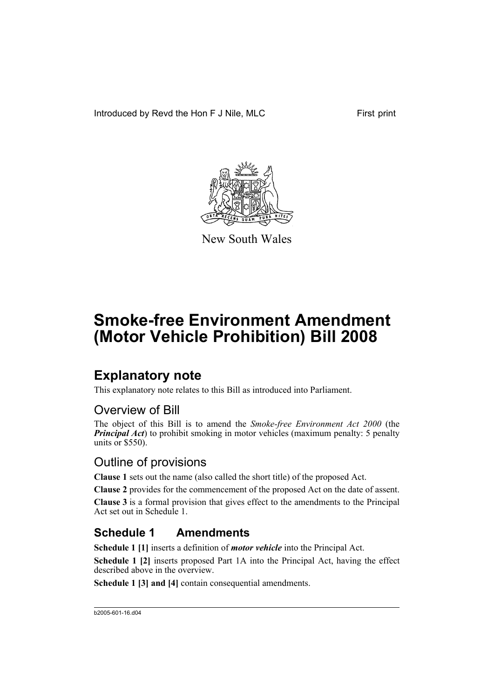Introduced by Revd the Hon F J Nile, MLC First print



New South Wales

# **Smoke-free Environment Amendment (Motor Vehicle Prohibition) Bill 2008**

### **Explanatory note**

This explanatory note relates to this Bill as introduced into Parliament.

### Overview of Bill

The object of this Bill is to amend the *Smoke-free Environment Act 2000* (the *Principal Act*) to prohibit smoking in motor vehicles (maximum penalty: 5 penalty units or  $$550$ ).

### Outline of provisions

**Clause 1** sets out the name (also called the short title) of the proposed Act.

**Clause 2** provides for the commencement of the proposed Act on the date of assent.

**Clause 3** is a formal provision that gives effect to the amendments to the Principal Act set out in Schedule 1.

### **Schedule 1 Amendments**

**Schedule 1 [1]** inserts a definition of *motor vehicle* into the Principal Act.

**Schedule 1 [2]** inserts proposed Part 1A into the Principal Act, having the effect described above in the overview.

**Schedule 1 [3] and [4]** contain consequential amendments.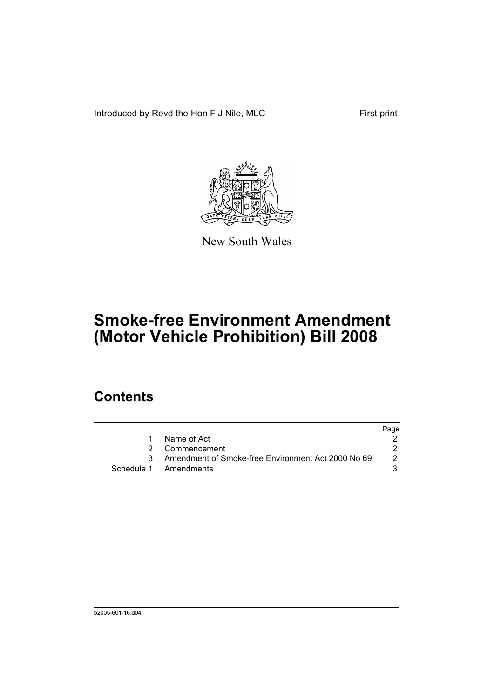Introduced by Revd the Hon F J Nile, MLC First print



New South Wales

# **Smoke-free Environment Amendment (Motor Vehicle Prohibition) Bill 2008**

### **Contents**

|                                                      | Page |
|------------------------------------------------------|------|
| Name of Act                                          |      |
| 2 Commencement                                       |      |
| 3 Amendment of Smoke-free Environment Act 2000 No 69 | 2    |
| Schedule 1 Amendments                                |      |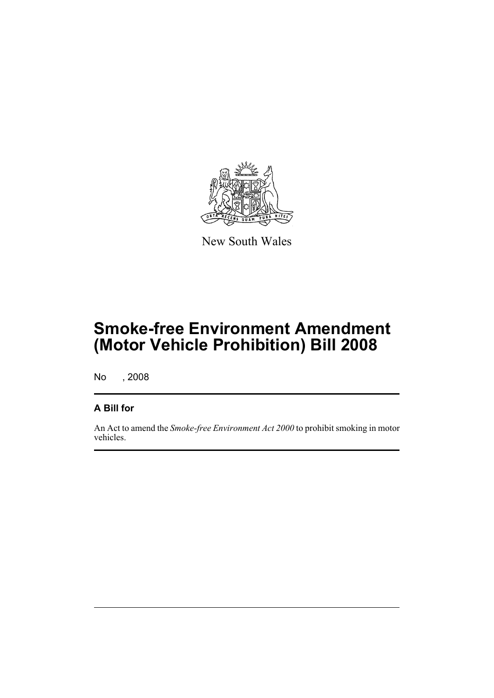

New South Wales

# **Smoke-free Environment Amendment (Motor Vehicle Prohibition) Bill 2008**

No , 2008

#### **A Bill for**

An Act to amend the *Smoke-free Environment Act 2000* to prohibit smoking in motor vehicles.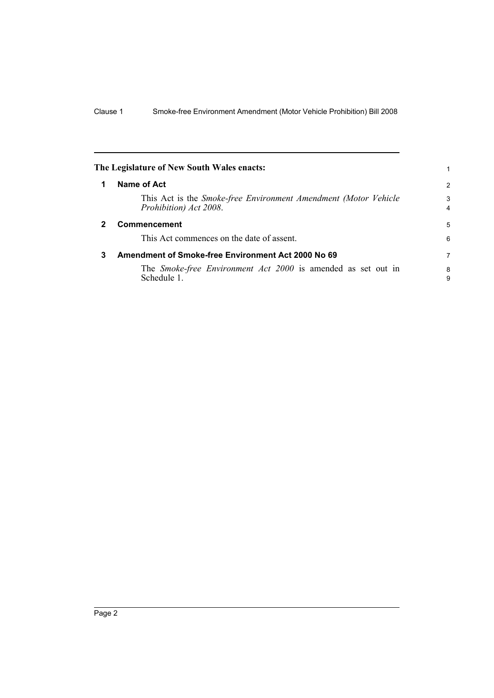<span id="page-5-2"></span><span id="page-5-1"></span><span id="page-5-0"></span>

|   | The Legislature of New South Wales enacts:                                                |                     |
|---|-------------------------------------------------------------------------------------------|---------------------|
|   | Name of Act                                                                               | $\overline{2}$      |
|   | This Act is the Smoke-free Environment Amendment (Motor Vehicle<br>Prohibition) Act 2008. | 3<br>$\overline{4}$ |
|   | <b>Commencement</b>                                                                       | 5                   |
|   | This Act commences on the date of assent.                                                 | 6                   |
| 3 | Amendment of Smoke-free Environment Act 2000 No 69                                        |                     |
|   | The <i>Smoke-free Environment Act 2000</i> is amended as set out in<br>Schedule 1.        | 8<br>9              |